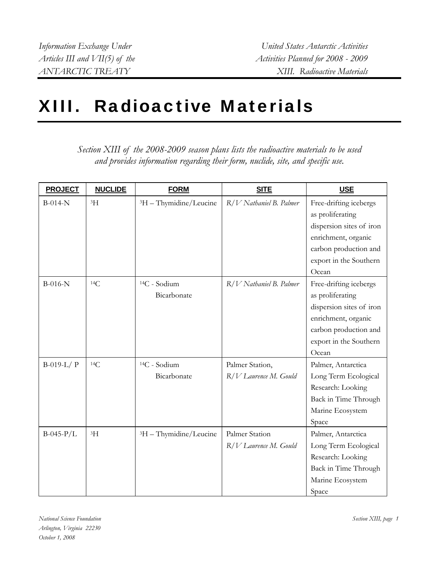## XIII. Radioactive Materials

*Section XIII of the 2008-2009 season plans lists the radioactive materials to be used and provides information regarding their form, nuclide, site, and specific use.* 

| <b>PROJECT</b> | <b>NUCLIDE</b> | <b>FORM</b>                             | <b>SITE</b>                              | USE                                                                                                                                                       |
|----------------|----------------|-----------------------------------------|------------------------------------------|-----------------------------------------------------------------------------------------------------------------------------------------------------------|
| $B-014-N$      | 3H             | <sup>3</sup> H - Thymidine/Leucine      | R/V Nathaniel B. Palmer                  | Free-drifting icebergs<br>as proliferating<br>dispersion sites of iron<br>enrichment, organic<br>carbon production and<br>export in the Southern<br>Ocean |
| $B-016-N$      | 14C            | <sup>14</sup> C - Sodium<br>Bicarbonate | R/V Nathaniel B. Palmer                  | Free-drifting icebergs<br>as proliferating<br>dispersion sites of iron<br>enrichment, organic<br>carbon production and<br>export in the Southern<br>Ocean |
| $B-019-L/$ P   | 14C            | <sup>14</sup> C - Sodium<br>Bicarbonate | Palmer Station,<br>R/V Laurence M. Gould | Palmer, Antarctica<br>Long Term Ecological<br>Research: Looking<br>Back in Time Through<br>Marine Ecosystem<br>Space                                      |
| $B-045-P/L$    | ${}^{3}H$      | <sup>3</sup> H - Thymidine/Leucine      | Palmer Station<br>R/V Laurence M. Gould  | Palmer, Antarctica<br>Long Term Ecological<br>Research: Looking<br>Back in Time Through<br>Marine Ecosystem<br>Space                                      |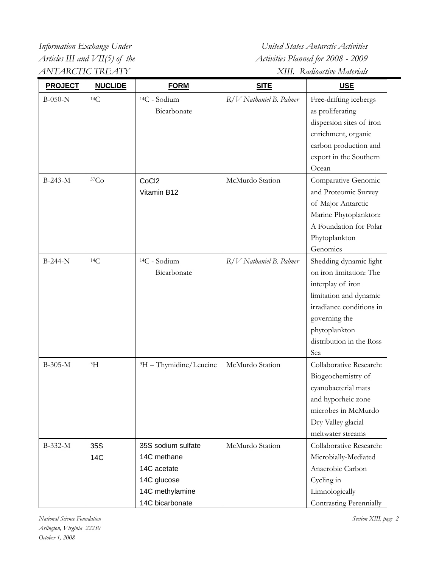*Information Exchange Under United States Antarctic Activities Articles III and VII(5) of the* Activities Planned for 2008 - 2009 *ANTARCTIC TREATY XIII. Radioactive Materials* 

| <b>PROJECT</b> | <b>NUCLIDE</b> | <b>FORM</b>                        | <b>SITE</b>             | <b>USE</b>               |
|----------------|----------------|------------------------------------|-------------------------|--------------------------|
| $B-050-N$      | 14C            | <sup>14</sup> C - Sodium           | R/V Nathaniel B. Palmer | Free-drifting icebergs   |
|                |                | Bicarbonate                        |                         | as proliferating         |
|                |                |                                    |                         | dispersion sites of iron |
|                |                |                                    |                         | enrichment, organic      |
|                |                |                                    |                         | carbon production and    |
|                |                |                                    |                         | export in the Southern   |
|                |                |                                    |                         | Ocean                    |
| B-243-M        | 57Co           | CoCl <sub>2</sub>                  | McMurdo Station         | Comparative Genomic      |
|                |                | Vitamin B12                        |                         | and Proteomic Survey     |
|                |                |                                    |                         | of Major Antarctic       |
|                |                |                                    |                         | Marine Phytoplankton:    |
|                |                |                                    |                         | A Foundation for Polar   |
|                |                |                                    |                         | Phytoplankton            |
|                |                |                                    |                         | Genomics                 |
| $B-244-N$      | 14C            | <sup>14</sup> C - Sodium           | R/V Nathaniel B. Palmer | Shedding dynamic light   |
|                |                | Bicarbonate                        |                         | on iron limitation: The  |
|                |                |                                    |                         | interplay of iron        |
|                |                |                                    |                         | limitation and dynamic   |
|                |                |                                    |                         | irradiance conditions in |
|                |                |                                    |                         | governing the            |
|                |                |                                    |                         | phytoplankton            |
|                |                |                                    |                         | distribution in the Ross |
|                |                |                                    |                         | Sea                      |
| B-305-M        | ${}^{3}H$      | <sup>3</sup> H - Thymidine/Leucine | McMurdo Station         | Collaborative Research:  |
|                |                |                                    |                         | Biogeochemistry of       |
|                |                |                                    |                         | cyanobacterial mats      |
|                |                |                                    |                         | and hyporheic zone       |
|                |                |                                    |                         | microbes in McMurdo      |
|                |                |                                    |                         | Dry Valley glacial       |
|                |                |                                    |                         | meltwater streams        |
| B-332-M        | 35S            | 35S sodium sulfate                 | McMurdo Station         | Collaborative Research:  |
|                | <b>14C</b>     | 14C methane                        |                         | Microbially-Mediated     |
|                |                | 14C acetate                        |                         | Anaerobic Carbon         |
|                |                | 14C glucose                        |                         | Cycling in               |
|                |                | 14C methylamine                    |                         | Limnologically           |
|                |                | 14C bicarbonate                    |                         | Contrasting Perennially  |

*Section XIII, page 2*